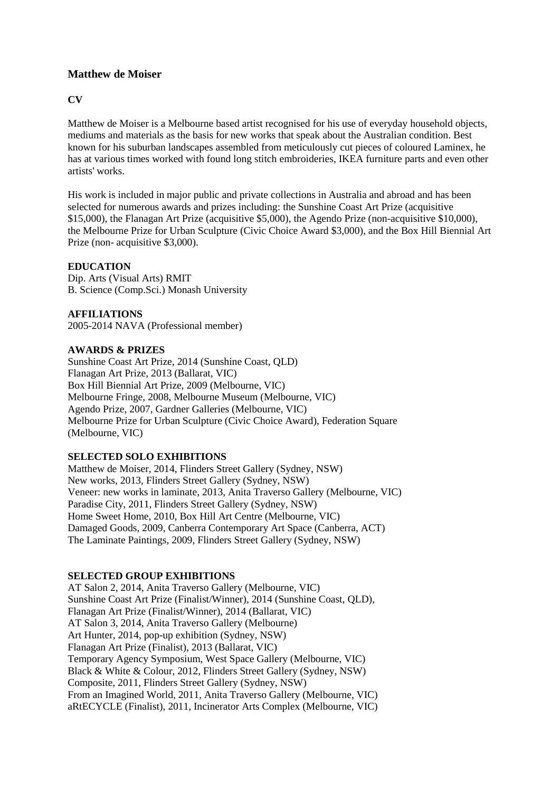# **Matthew de Moiser**

## **CV**

Matthew de Moiser is a Melbourne based artist recognised for his use of everyday household objects, mediums and materials as the basis for new works that speak about the Australian condition. Best known for his suburban landscapes assembled from meticulously cut pieces of coloured Laminex, he has at various times worked with found long stitch embroideries, IKEA furniture parts and even other artists' works.

His work is included in major public and private collections in Australia and abroad and has been selected for numerous awards and prizes including: the Sunshine Coast Art Prize (acquisitive \$15,000), the Flanagan Art Prize (acquisitive \$5,000), the Agendo Prize (non-acquisitive \$10,000), the Melbourne Prize for Urban Sculpture (Civic Choice Award \$3,000), and the Box Hill Biennial Art Prize (non- acquisitive \$3,000).

#### **EDUCATION**

Dip. Arts (Visual Arts) RMIT B. Science (Comp.Sci.) Monash University

## **AFFILIATIONS**

2005-2014 NAVA (Professional member)

#### **AWARDS & PRIZES**

Sunshine Coast Art Prize, 2014 (Sunshine Coast, QLD) Flanagan Art Prize, 2013 (Ballarat, VIC) Box Hill Biennial Art Prize, 2009 (Melbourne, VIC) Melbourne Fringe, 2008, Melbourne Museum (Melbourne, VIC) Agendo Prize, 2007, Gardner Galleries (Melbourne, VIC) Melbourne Prize for Urban Sculpture (Civic Choice Award), Federation Square (Melbourne, VIC)

#### **SELECTED SOLO EXHIBITIONS**

Matthew de Moiser, 2014, Flinders Street Gallery (Sydney, NSW) New works, 2013, Flinders Street Gallery (Sydney, NSW) Veneer: new works in laminate, 2013, Anita Traverso Gallery (Melbourne, VIC) Paradise City, 2011, Flinders Street Gallery (Sydney, NSW) Home Sweet Home, 2010, Box Hill Art Centre (Melbourne, VIC) Damaged Goods, 2009, Canberra Contemporary Art Space (Canberra, ACT) The Laminate Paintings, 2009, Flinders Street Gallery (Sydney, NSW)

#### **SELECTED GROUP EXHIBITIONS**

AT Salon 2, 2014, Anita Traverso Gallery (Melbourne, VIC) Sunshine Coast Art Prize (Finalist/Winner), 2014 (Sunshine Coast, QLD), Flanagan Art Prize (Finalist/Winner), 2014 (Ballarat, VIC) AT Salon 3, 2014, Anita Traverso Gallery (Melbourne) Art Hunter, 2014, pop-up exhibition (Sydney, NSW) Flanagan Art Prize (Finalist), 2013 (Ballarat, VIC) Temporary Agency Symposium, West Space Gallery (Melbourne, VIC) Black & White & Colour, 2012, Flinders Street Gallery (Sydney, NSW) Composite, 2011, Flinders Street Gallery (Sydney, NSW) From an Imagined World, 2011, Anita Traverso Gallery (Melbourne, VIC) aRtECYCLE (Finalist), 2011, Incinerator Arts Complex (Melbourne, VIC)